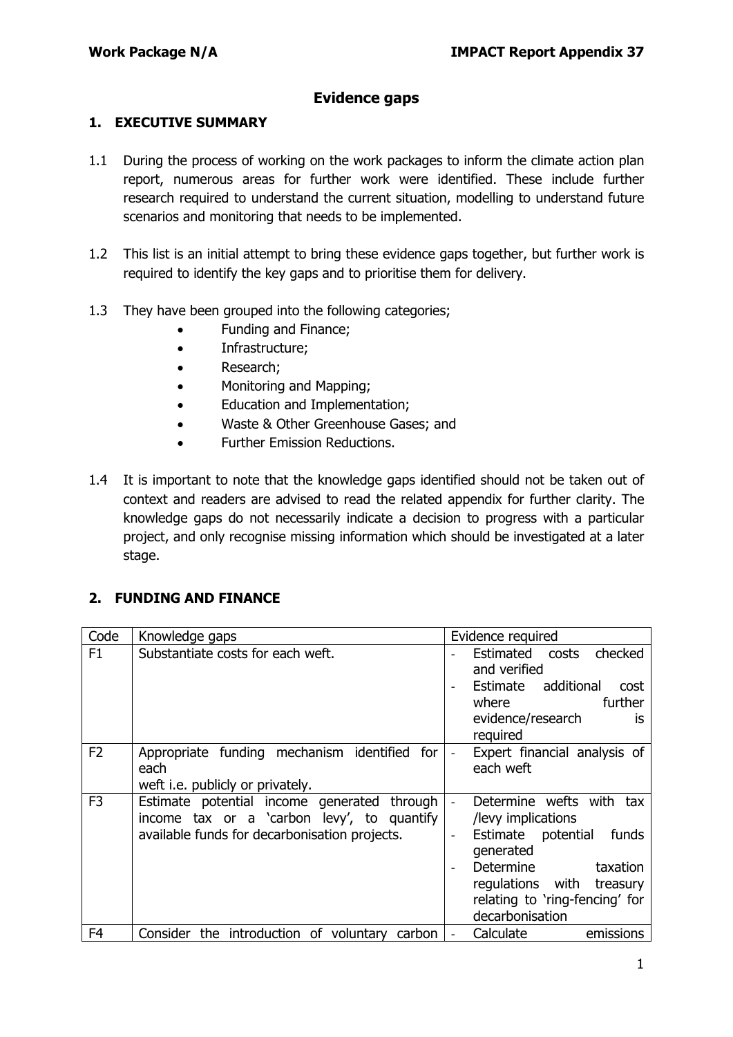### **Evidence gaps**

#### **1. EXECUTIVE SUMMARY**

- 1.1 During the process of working on the work packages to inform the climate action plan report, numerous areas for further work were identified. These include further research required to understand the current situation, modelling to understand future scenarios and monitoring that needs to be implemented.
- 1.2 This list is an initial attempt to bring these evidence gaps together, but further work is required to identify the key gaps and to prioritise them for delivery.
- 1.3 They have been grouped into the following categories;
	- Funding and Finance;
	- Infrastructure;
	- Research;
	- Monitoring and Mapping;
	- Education and Implementation;
	- Waste & Other Greenhouse Gases; and
	- Further Emission Reductions.
- 1.4 It is important to note that the knowledge gaps identified should not be taken out of context and readers are advised to read the related appendix for further clarity. The knowledge gaps do not necessarily indicate a decision to progress with a particular project, and only recognise missing information which should be investigated at a later stage.

#### **2. FUNDING AND FINANCE**

| Code           | Knowledge gaps                                                                                                                             | Evidence required                                                                                                                                                                                     |
|----------------|--------------------------------------------------------------------------------------------------------------------------------------------|-------------------------------------------------------------------------------------------------------------------------------------------------------------------------------------------------------|
| F1             | Substantiate costs for each weft.                                                                                                          | Estimated costs<br>checked<br>and verified<br>additional<br>Estimate<br>cost<br>further<br>where<br>evidence/research<br><b>is</b><br>required                                                        |
| F <sub>2</sub> | Appropriate funding mechanism identified for<br>each<br>weft i.e. publicly or privately.                                                   | Expert financial analysis of<br>each weft                                                                                                                                                             |
| F <sub>3</sub> | Estimate potential income generated through<br>income tax or a 'carbon levy', to quantify<br>available funds for decarbonisation projects. | Determine wefts with tax<br>/levy implications<br>Estimate potential<br>funds<br>generated<br>Determine<br>taxation<br>regulations with treasury<br>relating to 'ring-fencing' for<br>decarbonisation |
| F <sub>4</sub> | Consider the introduction of voluntary<br>carbon                                                                                           | emissions<br>Calculate                                                                                                                                                                                |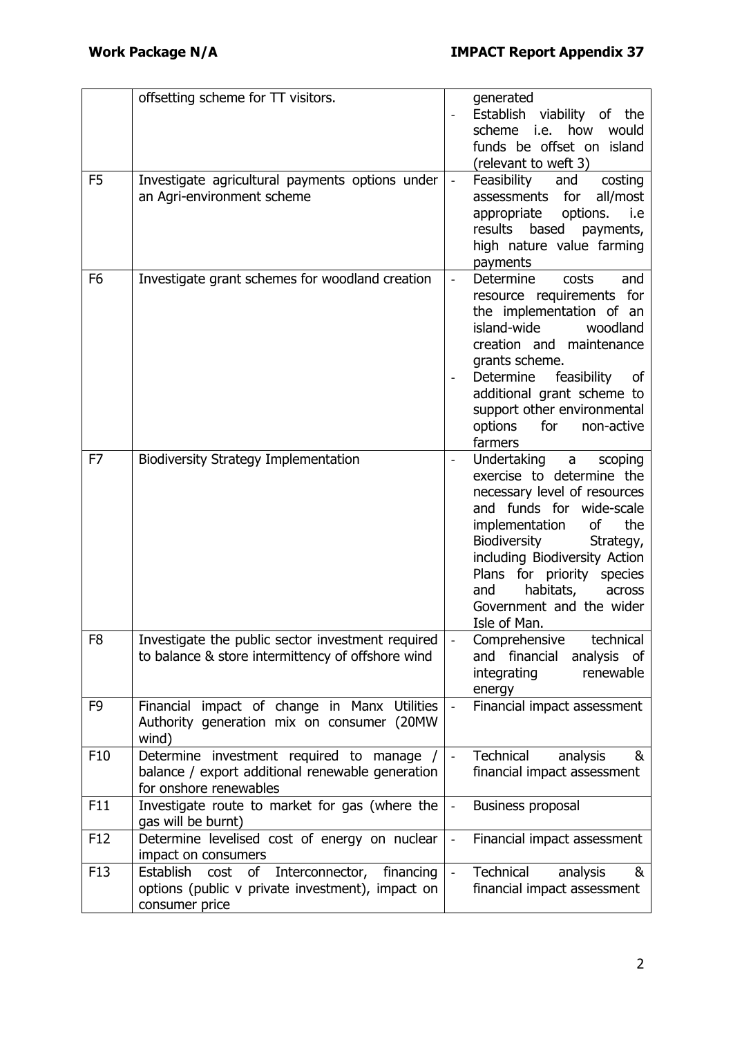|                | offsetting scheme for TT visitors.                                                                                            |                          | generated<br>Establish viability of the<br>scheme<br>how<br>i.e.<br>would<br>funds be offset on island<br>(relevant to weft 3)                                                                                                                                                                                            |
|----------------|-------------------------------------------------------------------------------------------------------------------------------|--------------------------|---------------------------------------------------------------------------------------------------------------------------------------------------------------------------------------------------------------------------------------------------------------------------------------------------------------------------|
| F <sub>5</sub> | Investigate agricultural payments options under<br>an Agri-environment scheme                                                 |                          | Feasibility<br>and<br>costing<br>assessments for<br>all/most<br>options.<br>i.e<br>appropriate<br>based<br>results<br>payments,<br>high nature value farming<br>payments                                                                                                                                                  |
| F <sub>6</sub> | Investigate grant schemes for woodland creation                                                                               | $\overline{\phantom{a}}$ | Determine<br>costs<br>and<br>resource requirements for<br>the implementation of an<br>island-wide<br>woodland<br>creation and maintenance<br>grants scheme.<br>feasibility<br>Determine<br>of<br>additional grant scheme to<br>support other environmental<br>options<br>for<br>non-active<br>farmers                     |
| F7             | <b>Biodiversity Strategy Implementation</b>                                                                                   |                          | Undertaking<br>a<br>scoping<br>exercise to determine the<br>necessary level of resources<br>and funds for wide-scale<br>implementation<br>οf<br>the<br>Biodiversity<br>Strategy,<br>including Biodiversity Action<br>Plans for priority species<br>habitats,<br>and<br>across<br>Government and the wider<br>Isle of Man. |
| F8             | Investigate the public sector investment required<br>to balance & store intermittency of offshore wind                        |                          | Comprehensive technical<br>financial<br>analysis<br>and<br>of<br>integrating<br>renewable<br>energy                                                                                                                                                                                                                       |
| F <sub>9</sub> | Financial impact of change in Manx Utilities<br>Authority generation mix on consumer (20MW<br>wind)                           |                          | Financial impact assessment                                                                                                                                                                                                                                                                                               |
| F10            | Determine investment required to manage /<br>balance / export additional renewable generation<br>for onshore renewables       |                          | Technical<br>analysis<br>&<br>financial impact assessment                                                                                                                                                                                                                                                                 |
| F11            | Investigate route to market for gas (where the<br>gas will be burnt)                                                          | $\overline{\phantom{a}}$ | Business proposal                                                                                                                                                                                                                                                                                                         |
| F12            | Determine levelised cost of energy on nuclear<br>impact on consumers                                                          |                          | Financial impact assessment                                                                                                                                                                                                                                                                                               |
| F13            | cost<br>Interconnector,<br>Establish<br>of<br>financing<br>options (public v private investment), impact on<br>consumer price |                          | Technical<br>analysis<br>&<br>financial impact assessment                                                                                                                                                                                                                                                                 |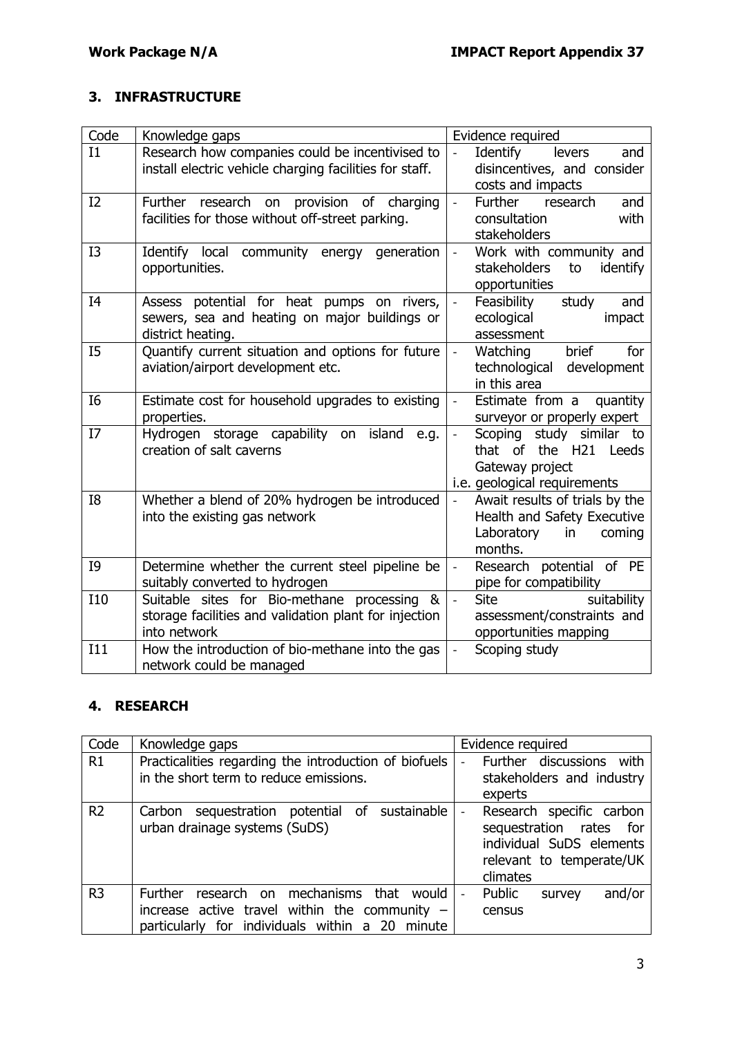## **3. INFRASTRUCTURE**

| Code           | Knowledge gaps                                                                                                       | Evidence required                                                                                             |
|----------------|----------------------------------------------------------------------------------------------------------------------|---------------------------------------------------------------------------------------------------------------|
| I1             | Research how companies could be incentivised to<br>install electric vehicle charging facilities for staff.           | Identify<br>levers<br>and<br>disincentives, and consider<br>costs and impacts                                 |
| I2             | research on<br><b>Further</b><br>provision<br>of<br>charging<br>facilities for those without off-street parking.     | <b>Further</b><br>research<br>and<br>$\frac{1}{2}$<br>consultation<br>with<br>stakeholders                    |
| I3             | Identify local community energy generation<br>opportunities.                                                         | Work with community and<br>$\overline{\phantom{0}}$<br>stakeholders<br>identify<br>to<br>opportunities        |
| I4             | Assess potential for heat pumps on rivers,<br>sewers, sea and heating on major buildings or<br>district heating.     | Feasibility<br>study<br>and<br>$\overline{a}$<br>ecological<br>impact<br>assessment                           |
| I5             | Quantify current situation and options for future<br>aviation/airport development etc.                               | brief<br>Watching<br>for<br>$\overline{a}$<br>technological<br>development<br>in this area                    |
| I <sub>6</sub> | Estimate cost for household upgrades to existing<br>properties.                                                      | Estimate from a quantity<br>surveyor or properly expert                                                       |
| I7             | Hydrogen storage capability on<br>island<br>e.g.<br>creation of salt caverns                                         | study similar to<br>Scoping<br>that of the H21 Leeds<br>Gateway project<br>i.e. geological requirements       |
| I8             | Whether a blend of 20% hydrogen be introduced<br>into the existing gas network                                       | Await results of trials by the<br>Health and Safety Executive<br>Laboratory<br>coming<br>in<br>months.        |
| I9             | Determine whether the current steel pipeline be<br>suitably converted to hydrogen                                    | Research potential of PE<br>$\overline{\phantom{a}}$<br>pipe for compatibility                                |
| <b>I10</b>     | Suitable sites for Bio-methane processing &<br>storage facilities and validation plant for injection<br>into network | suitability<br><b>Site</b><br>$\overline{\phantom{0}}$<br>assessment/constraints and<br>opportunities mapping |
| I11            | How the introduction of bio-methane into the gas<br>network could be managed                                         | Scoping study                                                                                                 |

### **4. RESEARCH**

| Code           | Knowledge gaps                                                                                                                                           | Evidence required                                                                                                                                      |
|----------------|----------------------------------------------------------------------------------------------------------------------------------------------------------|--------------------------------------------------------------------------------------------------------------------------------------------------------|
| R1             | Practicalities regarding the introduction of biofuels<br>in the short term to reduce emissions.                                                          | Further discussions with<br>stakeholders and industry<br>experts                                                                                       |
| R <sub>2</sub> | sequestration potential of sustainable<br>Carbon<br>urban drainage systems (SuDS)                                                                        | Research specific carbon<br>$\overline{\phantom{0}}$<br>sequestration rates<br>for<br>individual SuDS elements<br>relevant to temperate/UK<br>climates |
| R <sub>3</sub> | mechanisms that<br>Further<br>research on<br>would<br>increase active travel within the community $-$<br>particularly for individuals within a 20 minute | and/or<br>Public<br>survey<br>census                                                                                                                   |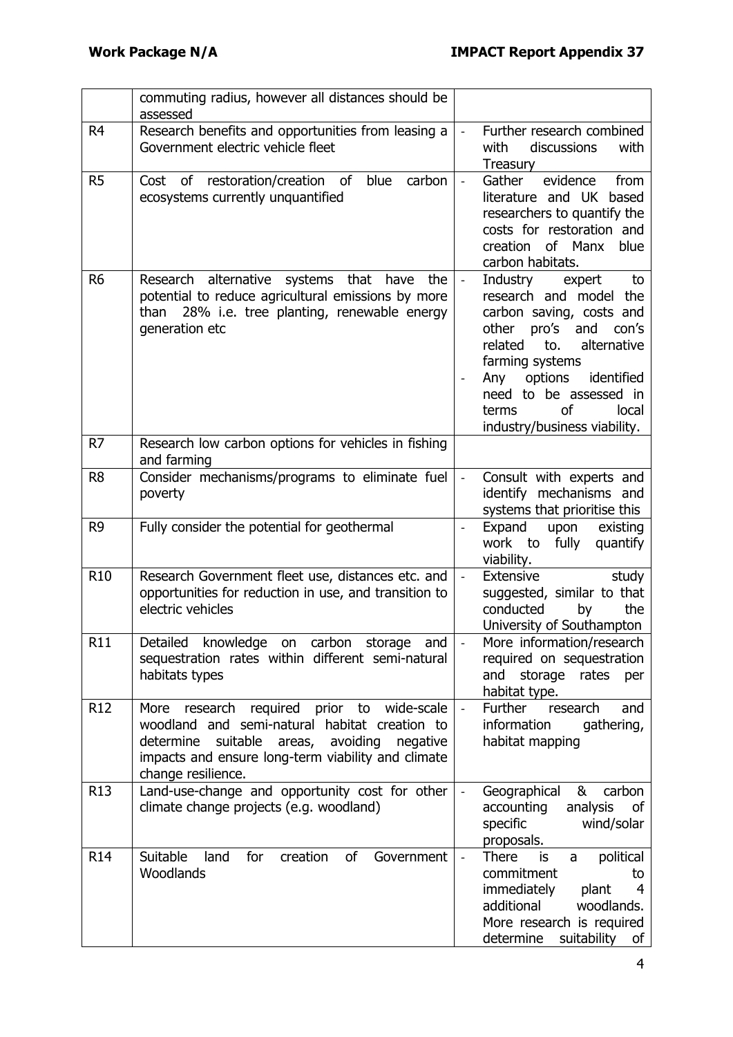|                 | commuting radius, however all distances should be<br>assessed                                                                                                                                                                   |                          |                                                                                                                                                                                                                                                                                     |
|-----------------|---------------------------------------------------------------------------------------------------------------------------------------------------------------------------------------------------------------------------------|--------------------------|-------------------------------------------------------------------------------------------------------------------------------------------------------------------------------------------------------------------------------------------------------------------------------------|
| R <sub>4</sub>  | Research benefits and opportunities from leasing a<br>Government electric vehicle fleet                                                                                                                                         | $\bar{\phantom{a}}$      | Further research combined<br>discussions<br>with<br>with<br>Treasury                                                                                                                                                                                                                |
| R <sub>5</sub>  | of restoration/creation of<br>blue<br>carbon<br>Cost<br>ecosystems currently unquantified                                                                                                                                       | $\Box$                   | evidence<br>Gather<br>from<br>literature and UK<br>based<br>researchers to quantify the<br>costs for restoration and<br>of Manx<br>blue<br>creation<br>carbon habitats.                                                                                                             |
| R <sub>6</sub>  | Research alternative systems that have the<br>potential to reduce agricultural emissions by more<br>28% i.e. tree planting, renewable energy<br>than<br>generation etc                                                          | $\overline{\phantom{a}}$ | expert<br>Industry<br>to<br>research and model the<br>carbon saving, costs and<br>pro's and<br>other<br>con's<br>related<br>alternative<br>to.<br>farming systems<br>identified<br>options<br>Any<br>need to be assessed in<br>of<br>local<br>terms<br>industry/business viability. |
| R7              | Research low carbon options for vehicles in fishing<br>and farming                                                                                                                                                              |                          |                                                                                                                                                                                                                                                                                     |
| R <sub>8</sub>  | Consider mechanisms/programs to eliminate fuel<br>poverty                                                                                                                                                                       | $\frac{1}{2}$            | Consult with experts and<br>identify mechanisms and<br>systems that prioritise this                                                                                                                                                                                                 |
| R <sub>9</sub>  | Fully consider the potential for geothermal                                                                                                                                                                                     | $\overline{\phantom{a}}$ | Expand<br>upon<br>existing<br>work to fully<br>quantify<br>viability.                                                                                                                                                                                                               |
| <b>R10</b>      | Research Government fleet use, distances etc. and<br>opportunities for reduction in use, and transition to<br>electric vehicles                                                                                                 | $\bar{\mathcal{L}}$      | <b>Extensive</b><br>study<br>suggested, similar to that<br>conducted<br>by<br>the<br>University of Southampton                                                                                                                                                                      |
| <b>R11</b>      | Detailed knowledge on carbon storage and  <br>sequestration rates within different semi-natural<br>habitats types                                                                                                               |                          | More information/research<br>required on sequestration<br>and storage rates<br>per<br>habitat type.                                                                                                                                                                                 |
| R <sub>12</sub> | More research required prior to<br>wide-scale<br>woodland and semi-natural habitat creation to<br>suitable areas, avoiding<br>determine<br>negative<br>impacts and ensure long-term viability and climate<br>change resilience. | $\Box$                   | Further<br>research<br>and<br>gathering,<br>information<br>habitat mapping                                                                                                                                                                                                          |
| R <sub>13</sub> | Land-use-change and opportunity cost for other<br>climate change projects (e.g. woodland)                                                                                                                                       | $\overline{\phantom{a}}$ | Geographical<br>&<br>carbon<br>analysis<br>accounting<br>of<br>specific<br>wind/solar<br>proposals.                                                                                                                                                                                 |
| R14             | Suitable<br>of<br>land<br>for<br>creation<br>Government<br>Woodlands                                                                                                                                                            | $\frac{1}{2}$            | There<br>political<br>is<br>a<br>commitment<br>to<br>immediately<br>plant<br>4<br>additional<br>woodlands.<br>More research is required<br>determine<br>suitability<br>of                                                                                                           |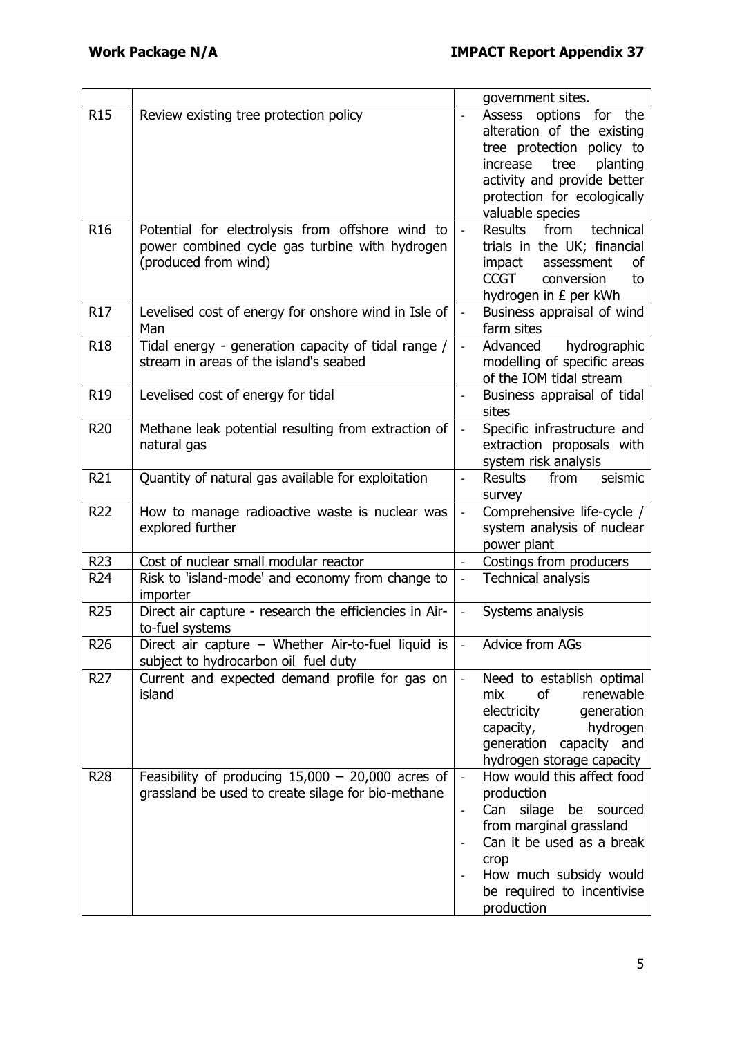|                 |                                                                                                                            |                                    | government sites.                                                                                                                                                                                                |
|-----------------|----------------------------------------------------------------------------------------------------------------------------|------------------------------------|------------------------------------------------------------------------------------------------------------------------------------------------------------------------------------------------------------------|
| <b>R15</b>      | Review existing tree protection policy                                                                                     | $\overline{a}$                     | Assess<br>options for<br>the<br>alteration of the existing<br>tree protection policy to<br>increase<br>tree<br>planting<br>activity and provide better<br>protection for ecologically<br>valuable species        |
| R <sub>16</sub> | Potential for electrolysis from offshore wind to<br>power combined cycle gas turbine with hydrogen<br>(produced from wind) | $\mathbb{L}$                       | technical<br>Results<br>from<br>trials in the UK; financial<br>impact<br>assessment<br>οf<br><b>CCGT</b><br>conversion<br>to<br>hydrogen in £ per kWh                                                            |
| <b>R17</b>      | Levelised cost of energy for onshore wind in Isle of<br>Man                                                                | $\blacksquare$                     | Business appraisal of wind<br>farm sites                                                                                                                                                                         |
| <b>R18</b>      | Tidal energy - generation capacity of tidal range /<br>stream in areas of the island's seabed                              | $\frac{1}{2}$                      | Advanced<br>hydrographic<br>modelling of specific areas<br>of the IOM tidal stream                                                                                                                               |
| R <sub>19</sub> | Levelised cost of energy for tidal                                                                                         | $\blacksquare$                     | Business appraisal of tidal<br>sites                                                                                                                                                                             |
| <b>R20</b>      | Methane leak potential resulting from extraction of<br>natural gas                                                         | $\blacksquare$                     | Specific infrastructure and<br>extraction proposals with<br>system risk analysis                                                                                                                                 |
| R <sub>21</sub> | Quantity of natural gas available for exploitation                                                                         | $\overline{\phantom{0}}$           | seismic<br>from<br>Results<br>survey                                                                                                                                                                             |
| <b>R22</b>      | How to manage radioactive waste is nuclear was<br>explored further                                                         | $\overline{\phantom{0}}$           | Comprehensive life-cycle /<br>system analysis of nuclear<br>power plant                                                                                                                                          |
| <b>R23</b>      | Cost of nuclear small modular reactor                                                                                      | $\overline{a}$                     | Costings from producers                                                                                                                                                                                          |
| R <sub>24</sub> | Risk to 'island-mode' and economy from change to<br>importer                                                               | $\Box$                             | <b>Technical analysis</b>                                                                                                                                                                                        |
| <b>R25</b>      | Direct air capture - research the efficiencies in Air-<br>to-fuel systems                                                  | $\overline{\phantom{a}}$           | Systems analysis                                                                                                                                                                                                 |
| R <sub>26</sub> | Direct air capture - Whether Air-to-fuel liquid is<br>subject to hydrocarbon oil fuel duty                                 |                                    | Advice from AGs                                                                                                                                                                                                  |
| R <sub>27</sub> | Current and expected demand profile for gas on<br>island                                                                   | $\mathbb{L}$                       | Need to establish optimal<br>renewable<br>mix<br><b>of</b><br>electricity<br>generation<br>hydrogen<br>capacity,<br>generation capacity and<br>hydrogen storage capacity                                         |
| <b>R28</b>      | Feasibility of producing $15,000 - 20,000$ acres of<br>grassland be used to create silage for bio-methane                  | $\Box$<br>$\overline{\phantom{0}}$ | How would this affect food<br>production<br>silage<br>Can<br>be<br>sourced<br>from marginal grassland<br>Can it be used as a break<br>crop<br>How much subsidy would<br>be required to incentivise<br>production |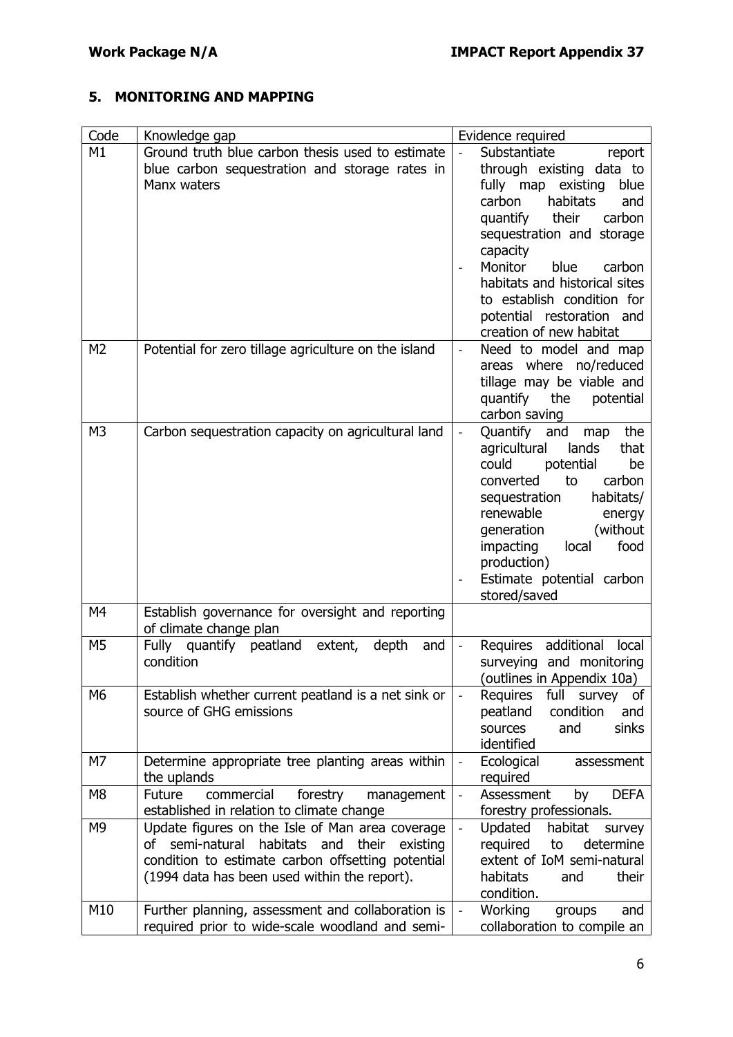# **5. MONITORING AND MAPPING**

| Code           | Knowledge gap                                                                                                                                                                                                      | Evidence required                                                                                                                                                                                                                                                                                                                                                      |
|----------------|--------------------------------------------------------------------------------------------------------------------------------------------------------------------------------------------------------------------|------------------------------------------------------------------------------------------------------------------------------------------------------------------------------------------------------------------------------------------------------------------------------------------------------------------------------------------------------------------------|
| M1             | Ground truth blue carbon thesis used to estimate<br>blue carbon sequestration and storage rates in<br>Manx waters                                                                                                  | Substantiate<br>$\mathbb{L}^{\mathbb{N}}$<br>report<br>through existing data to<br>blue<br>fully map existing<br>habitats<br>carbon<br>and<br>their<br>carbon<br>quantify<br>sequestration and storage<br>capacity<br>Monitor<br>blue<br>carbon<br>habitats and historical sites<br>to establish condition for<br>potential restoration and<br>creation of new habitat |
| M <sub>2</sub> | Potential for zero tillage agriculture on the island                                                                                                                                                               | Need to model and map<br>$\overline{\phantom{a}}$<br>areas where no/reduced<br>tillage may be viable and<br>quantify the<br>potential<br>carbon saving                                                                                                                                                                                                                 |
| M <sub>3</sub> | Carbon sequestration capacity on agricultural land                                                                                                                                                                 | Quantify and<br>the<br>$\blacksquare$<br>map<br>agricultural<br>lands<br>that<br>potential<br>could<br>be<br>converted<br>to<br>carbon<br>habitats/<br>sequestration<br>renewable<br>energy<br>(without)<br>generation<br>food<br>impacting<br>local<br>production)<br>Estimate potential carbon<br>stored/saved                                                       |
| M4             | Establish governance for oversight and reporting<br>of climate change plan                                                                                                                                         |                                                                                                                                                                                                                                                                                                                                                                        |
| M <sub>5</sub> | Fully quantify peatland<br>extent,<br>depth<br>and<br>condition                                                                                                                                                    | additional<br>Requires<br>local<br>$\overline{\phantom{a}}$<br>surveying and monitoring<br>(outlines in Appendix 10a)                                                                                                                                                                                                                                                  |
| M <sub>6</sub> | Establish whether current peatland is a net sink or<br>source of GHG emissions                                                                                                                                     | full<br>Requires<br>survey<br>οf<br>peatland<br>condition<br>and<br>sinks<br>sources<br>and<br>identified                                                                                                                                                                                                                                                              |
| M7             | Determine appropriate tree planting areas within<br>the uplands                                                                                                                                                    | Ecological<br>assessment<br>$\overline{\phantom{a}}$<br>required                                                                                                                                                                                                                                                                                                       |
| M <sub>8</sub> | <b>Future</b><br>commercial<br>forestry<br>management<br>established in relation to climate change                                                                                                                 | Assessment<br><b>DEFA</b><br>by<br>$\overline{\phantom{a}}$<br>forestry professionals.                                                                                                                                                                                                                                                                                 |
| M <sub>9</sub> | Update figures on the Isle of Man area coverage<br>semi-natural<br>habitats<br>and<br>their<br>Ωf<br>existing<br>condition to estimate carbon offsetting potential<br>(1994 data has been used within the report). | Updated<br>habitat<br>survey<br>$\overline{\phantom{0}}$<br>required<br>determine<br>to<br>extent of IoM semi-natural<br>habitats<br>their<br>and<br>condition.                                                                                                                                                                                                        |
| M10            | Further planning, assessment and collaboration is<br>required prior to wide-scale woodland and semi-                                                                                                               | Working<br>groups<br>$\blacksquare$<br>and<br>collaboration to compile an                                                                                                                                                                                                                                                                                              |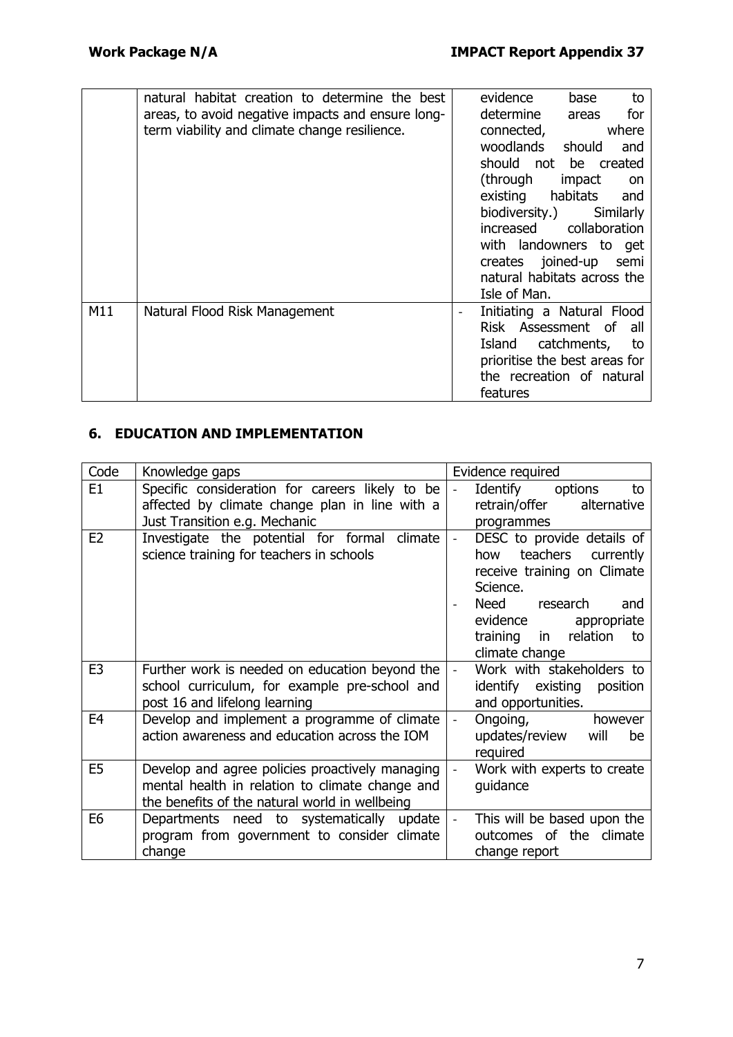|     | natural habitat creation to determine the best<br>areas, to avoid negative impacts and ensure long-<br>term viability and climate change resilience. | evidence<br>to<br>base<br>determine<br>for<br>areas<br>connected,<br>where<br>woodlands should<br>and<br>should not be created<br>(through<br>impact<br>on<br>existing habitats and<br>biodiversity.)<br>Similarly<br>increased collaboration<br>with landowners to get<br>creates joined-up semi<br>natural habitats across the |
|-----|------------------------------------------------------------------------------------------------------------------------------------------------------|----------------------------------------------------------------------------------------------------------------------------------------------------------------------------------------------------------------------------------------------------------------------------------------------------------------------------------|
|     |                                                                                                                                                      | Isle of Man.                                                                                                                                                                                                                                                                                                                     |
| M11 | Natural Flood Risk Management                                                                                                                        | Initiating a Natural Flood<br>Risk Assessment of all<br>Island catchments, to<br>prioritise the best areas for<br>the recreation of natural<br>features                                                                                                                                                                          |

## **6. EDUCATION AND IMPLEMENTATION**

| Code           | Knowledge gaps                                                                                                                                       | Evidence required                                                                                                                                                                               |
|----------------|------------------------------------------------------------------------------------------------------------------------------------------------------|-------------------------------------------------------------------------------------------------------------------------------------------------------------------------------------------------|
| E <sub>1</sub> | Specific consideration for careers likely to be<br>affected by climate change plan in line with a<br>Just Transition e.g. Mechanic                   | to<br>Identify options<br>retrain/offer<br>alternative<br>programmes                                                                                                                            |
| E <sub>2</sub> | Investigate the potential for formal climate<br>science training for teachers in schools                                                             | DESC to provide details of<br>how teachers currently<br>receive training on Climate<br>Science.<br>Need research<br>and<br>evidence appropriate<br>training in relation<br>to<br>climate change |
| E <sub>3</sub> | Further work is needed on education beyond the<br>school curriculum, for example pre-school and<br>post 16 and lifelong learning                     | Work with stakeholders to<br>identify existing<br>position<br>and opportunities.                                                                                                                |
| E <sub>4</sub> | Develop and implement a programme of climate<br>action awareness and education across the IOM                                                        | Ongoing,<br>however<br>updates/review will<br>be<br>required                                                                                                                                    |
| E <sub>5</sub> | Develop and agree policies proactively managing<br>mental health in relation to climate change and<br>the benefits of the natural world in wellbeing | Work with experts to create<br>guidance                                                                                                                                                         |
| E <sub>6</sub> | Departments need to systematically update<br>program from government to consider climate<br>change                                                   | This will be based upon the<br>outcomes of the climate<br>change report                                                                                                                         |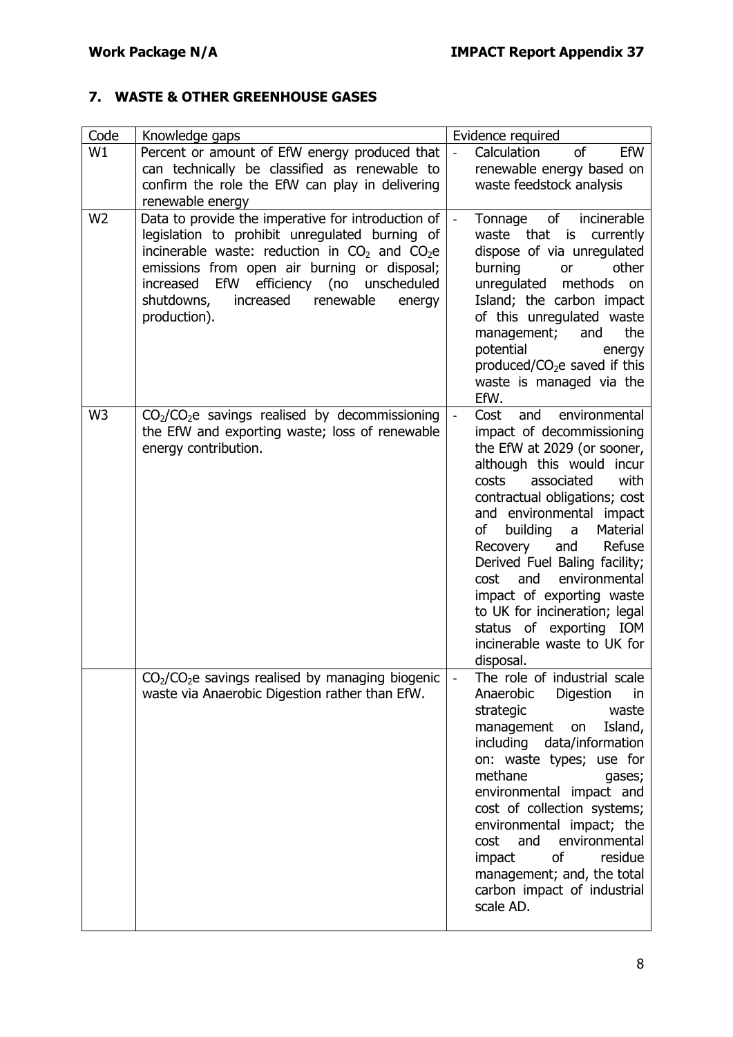## **7. WASTE & OTHER GREENHOUSE GASES**

| Code           | Knowledge gaps                                                                                                                                                                                                                                                                                                            | Evidence required                                                                                                                                                                                                                                                                                                                                                                                                                                                                                     |
|----------------|---------------------------------------------------------------------------------------------------------------------------------------------------------------------------------------------------------------------------------------------------------------------------------------------------------------------------|-------------------------------------------------------------------------------------------------------------------------------------------------------------------------------------------------------------------------------------------------------------------------------------------------------------------------------------------------------------------------------------------------------------------------------------------------------------------------------------------------------|
| W1             | Percent or amount of EfW energy produced that<br>can technically be classified as renewable to<br>confirm the role the EfW can play in delivering<br>renewable energy                                                                                                                                                     | <sub>of</sub><br>EfW<br>Calculation<br>renewable energy based on<br>waste feedstock analysis                                                                                                                                                                                                                                                                                                                                                                                                          |
| W <sub>2</sub> | Data to provide the imperative for introduction of<br>legislation to prohibit unregulated burning of<br>incinerable waste: reduction in $CO2$ and $CO2e$<br>emissions from open air burning or disposal;<br>EfW efficiency (no unscheduled<br>increased<br>shutdowns,<br>increased<br>renewable<br>energy<br>production). | of<br>incinerable<br>Tonnage<br>waste that is currently<br>dispose of via unregulated<br>burning<br>other<br>or<br>unregulated methods<br>on<br>Island; the carbon impact<br>of this unregulated waste<br>the<br>management;<br>and<br>potential<br>energy<br>produced/ $CO2e$ saved if this<br>waste is managed via the<br>EfW.                                                                                                                                                                      |
| W <sub>3</sub> | $CO2/CO2e$ savings realised by decommissioning<br>the EfW and exporting waste; loss of renewable<br>energy contribution.                                                                                                                                                                                                  | Cost<br>environmental<br>and<br>$\frac{1}{2}$<br>impact of decommissioning<br>the EfW at 2029 (or sooner,<br>although this would incur<br>associated<br>with<br>costs<br>contractual obligations; cost<br>and environmental impact<br>Material<br>of<br>building a<br>Refuse<br>Recovery<br>and<br>Derived Fuel Baling facility;<br>environmental<br>and<br>cost<br>impact of exporting waste<br>to UK for incineration; legal<br>status of exporting IOM<br>incinerable waste to UK for<br>disposal. |
|                | CO <sub>2</sub> /CO <sub>2</sub> e savings realised by managing biogenic<br>waste via Anaerobic Digestion rather than EfW.                                                                                                                                                                                                | The role of industrial scale<br>Anaerobic<br>Digestion<br>in.<br>strategic<br>waste<br>management<br>Island,<br>on<br>including data/information<br>on: waste types; use for<br>methane<br>gases;<br>environmental impact and<br>cost of collection systems;<br>environmental impact; the<br>cost<br>and<br>environmental<br>of<br>residue<br>impact<br>management; and, the total<br>carbon impact of industrial<br>scale AD.                                                                        |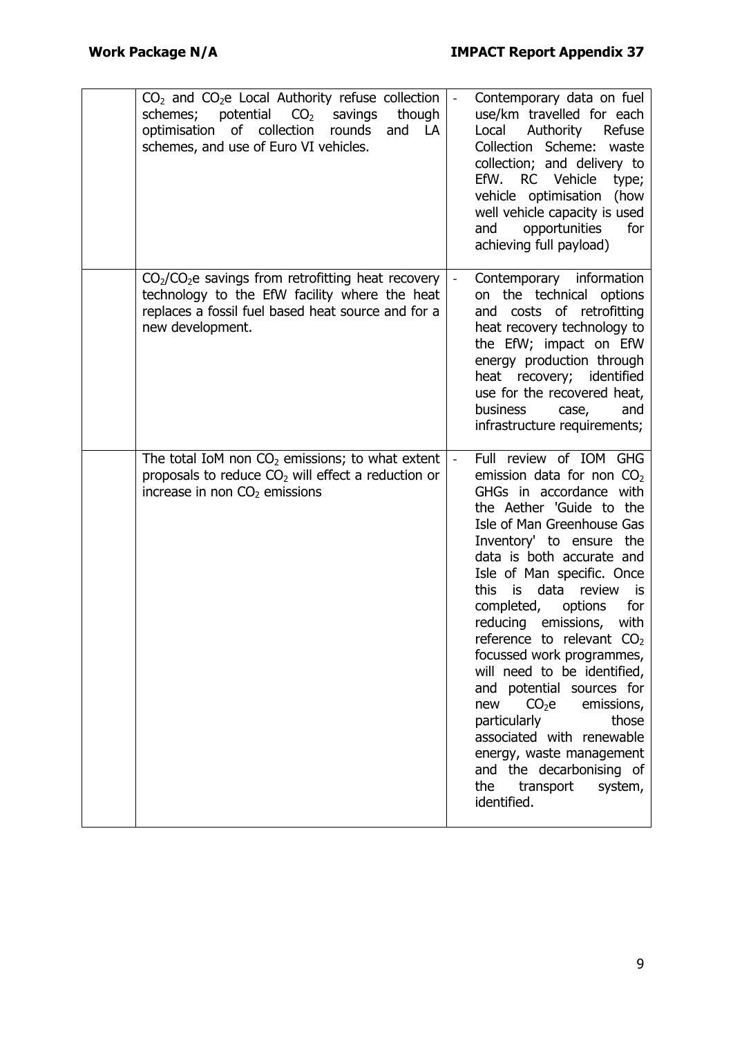| $CO2$ and $CO2e$ Local Authority refuse collection<br>potential CO <sub>2</sub> savings<br>schemes;<br>though<br>of collection rounds<br>optimisation<br>and LA<br>schemes, and use of Euro VI vehicles. |                          | Contemporary data on fuel<br>use/km travelled for each<br>Authority<br>Local<br>Refuse<br>Collection Scheme:<br>waste<br>collection; and delivery to<br>RC Vehicle<br>EfW.<br>type;<br>vehicle optimisation<br>(how<br>well vehicle capacity is used<br>opportunities<br>for<br>and<br>achieving full payload)                                                                                                                                                                                                                                                                                                                                                                 |
|----------------------------------------------------------------------------------------------------------------------------------------------------------------------------------------------------------|--------------------------|--------------------------------------------------------------------------------------------------------------------------------------------------------------------------------------------------------------------------------------------------------------------------------------------------------------------------------------------------------------------------------------------------------------------------------------------------------------------------------------------------------------------------------------------------------------------------------------------------------------------------------------------------------------------------------|
| $CO2/CO2e$ savings from retrofitting heat recovery<br>technology to the EfW facility where the heat<br>replaces a fossil fuel based heat source and for a<br>new development.                            |                          | Contemporary information<br>on the technical options<br>costs of retrofitting<br>and<br>heat recovery technology to<br>the EfW; impact on EfW<br>energy production through<br>heat recovery; identified<br>use for the recovered heat,<br>business<br>and<br>case,<br>infrastructure requirements;                                                                                                                                                                                                                                                                                                                                                                             |
| The total IoM non $CO2$ emissions; to what extent<br>proposals to reduce $CO2$ will effect a reduction or<br>increase in non $CO2$ emissions                                                             | $\overline{\phantom{a}}$ | Full review of IOM GHG<br>emission data for non CO <sub>2</sub><br>GHGs in accordance with<br>the Aether 'Guide to the<br>Isle of Man Greenhouse Gas<br>Inventory' to ensure the<br>data is both accurate and<br>Isle of Man specific. Once<br>this<br>data<br>is<br>review<br>is<br>completed,<br>for<br>options<br>reducing emissions,<br>with<br>reference to relevant $CO2$<br>focussed work programmes,<br>will need to be identified,<br>and potential sources for<br>CO <sub>2</sub> e<br>emissions,<br>new<br>particularly<br>those<br>associated with renewable<br>energy, waste management<br>and the decarbonising of<br>transport<br>the<br>system,<br>identified. |